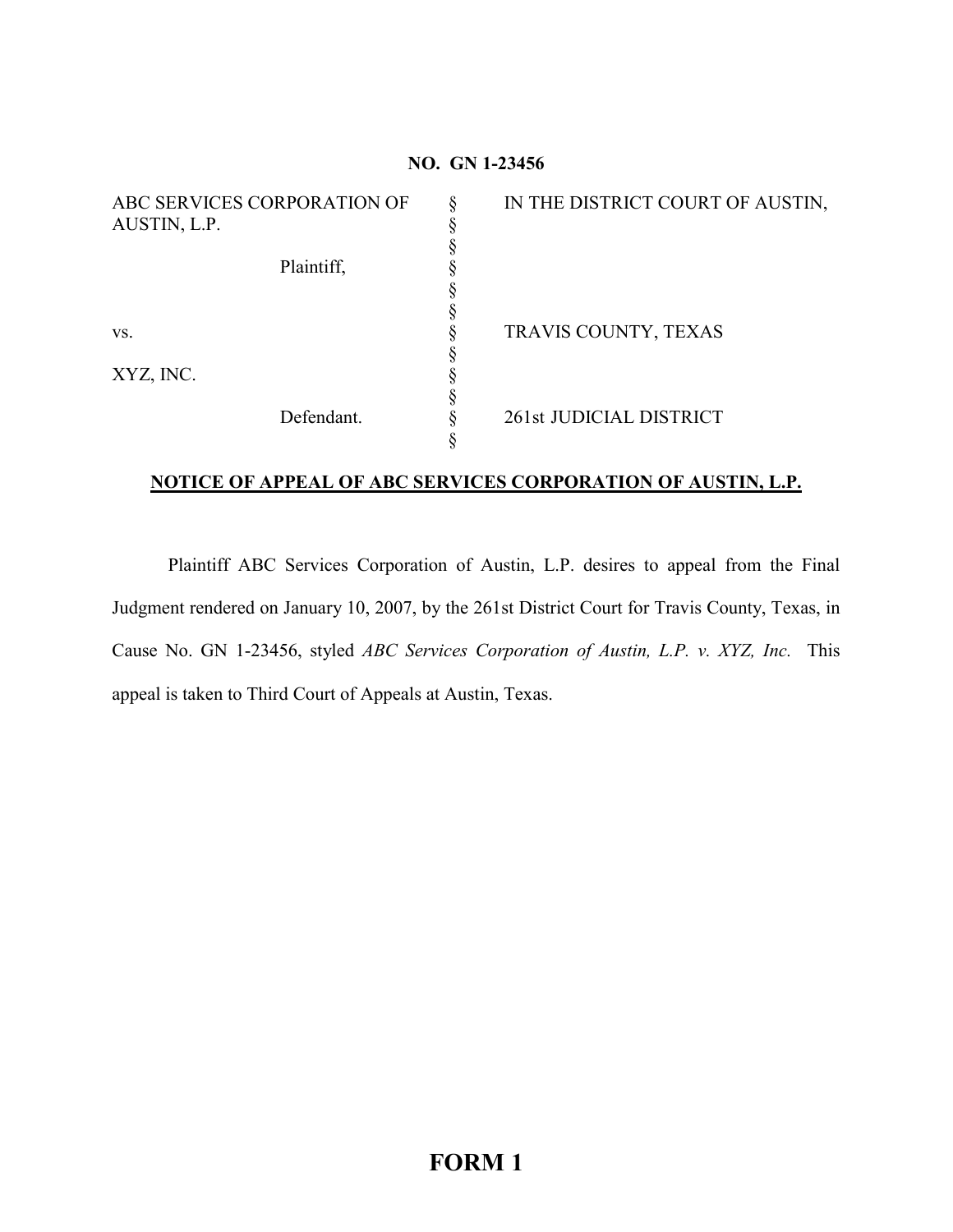| NO. GN 1-23456                              |   |                                  |
|---------------------------------------------|---|----------------------------------|
| ABC SERVICES CORPORATION OF<br>AUSTIN, L.P. | § | IN THE DISTRICT COURT OF AUSTIN, |
| Plaintiff,                                  |   |                                  |
| VS.                                         |   | TRAVIS COUNTY, TEXAS             |
| XYZ, INC.                                   |   |                                  |
| Defendant.                                  |   | 261st JUDICIAL DISTRICT          |

## **NOTICE OF APPEAL OF ABC SERVICES CORPORATION OF AUSTIN, L.P.**

Plaintiff ABC Services Corporation of Austin, L.P. desires to appeal from the Final Judgment rendered on January 10, 2007, by the 261st District Court for Travis County, Texas, in Cause No. GN 1-23456, styled *ABC Services Corporation of Austin, L.P. v. XYZ, Inc.* This appeal is taken to Third Court of Appeals at Austin, Texas.